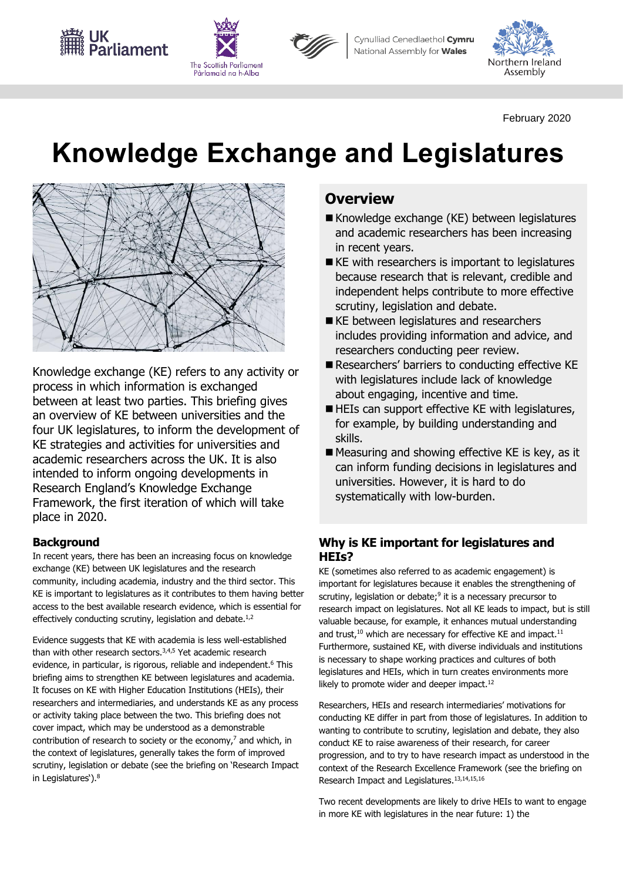Cynulliad Cenedlaethol Cymru National Assembly for **Wales** 



February 2020

# **Knowledge Exchange and Legislatures**



UK<br>Parliamen<mark>t</mark>

The Scottish Parliament Pàrlamaid na h-Alba

Knowledge exchange (KE) refers to any activity or process in which information is exchanged between at least two parties. This briefing gives an overview of KE between universities and the four UK legislatures, to inform the development of KE strategies and activities for universities and academic researchers across the UK. It is also intended to inform ongoing developments in Research England's Knowledge Exchange Framework, the first iteration of which will take place in 2020.

# **Background**

 exchange (KE) between UK legislatures and the research In recent years, there has been an increasing focus on knowledge community, including academia, industry and the third sector. This KE is important to legislatures as it contributes to them having better access to the best available research evidence, which is essential for effectively conducting scrutiny, legislation and debate.<sup>1,2</sup>

 Evidence suggests that KE with academia is less well-established than with other research sectors.<sup>3,4,5</sup> Yet academic research briefing aims to strengthen KE between legislatures and academia. It focuses on KE with Higher Education Institutions (HEIs), their or activity taking place between the two. This briefing does not evidence, in particular, is rigorous, reliable and independent. 6 This researchers and intermediaries, and understands KE as any process cover impact, which may be understood as a demonstrable contribution of research to society or the economy, 7 and which, in the context of legislatures, generally takes the form of improved scrutiny, legislation or debate (see the briefing on 'Research Impact in Legislatures').<sup>8</sup>

# **Overview**

- Knowledge exchange (KE) between legislatures and academic researchers has been increasing in recent years.
- KE with researchers is important to legislatures because research that is relevant, credible and independent helps contribute to more effective scrutiny, legislation and debate.
- KE between legislatures and researchers includes providing information and advice, and researchers conducting peer review.
- Researchers' barriers to conducting effective KE with legislatures include lack of knowledge about engaging, incentive and time.
- HEIs can support effective KE with legislatures, for example, by building understanding and skills.
- Measuring and showing effective KE is key, as it can inform funding decisions in legislatures and universities. However, it is hard to do systematically with low-burden.

# **Why is KE important for legislatures and HEIs?**

 KE (sometimes also referred to as academic engagement) is scrutiny, legislation or debate;<sup>9</sup> it is a necessary precursor to research impact on legislatures. Not all KE leads to impact, but is still valuable because, for example, it enhances mutual understanding and trust, $10$  which are necessary for effective KE and impact. $11$ likely to promote wider and deeper impact.<sup>12</sup> important for legislatures because it enables the strengthening of Furthermore, sustained KE, with diverse individuals and institutions is necessary to shape working practices and cultures of both legislatures and HEIs, which in turn creates environments more

Research Impact and Legislatures.<sup>13,14,15,16</sup> Researchers, HEIs and research intermediaries' motivations for conducting KE differ in part from those of legislatures. In addition to wanting to contribute to scrutiny, legislation and debate, they also conduct KE to raise awareness of their research, for career progression, and to try to have research impact as understood in the context of the Research Excellence Framework (see the briefing on

Two recent developments are likely to drive HEIs to want to engage in more KE with legislatures in the near future: 1) the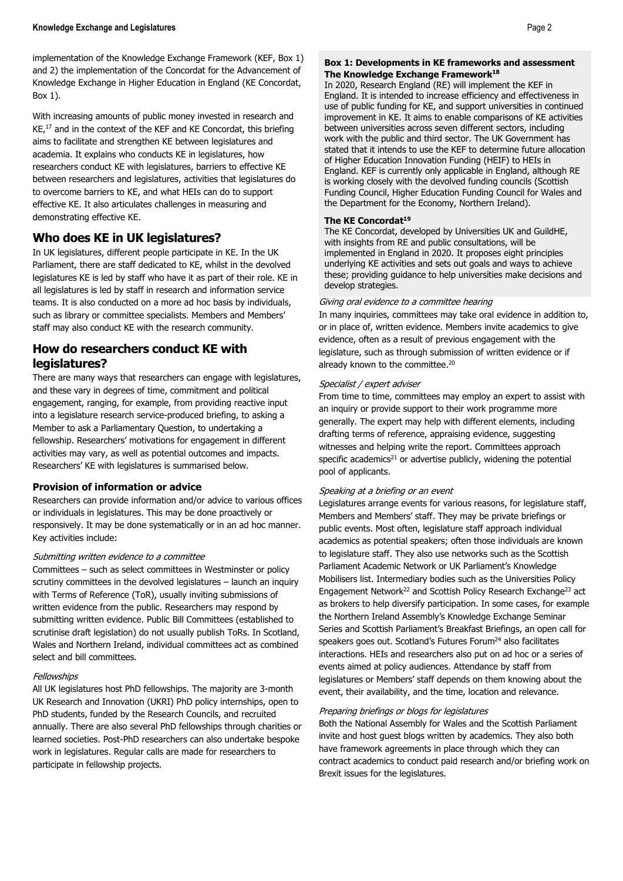Knowledge Exchange in Higher Education in England (KE Concordat, implementation of the Knowledge Exchange Framework (KEF, Box 1) and 2) the implementation of the Concordat for the Advancement of Box 1).

 researchers conduct KE with legislatures, barriers to effective KE effective KE. It also articulates challenges in measuring and With increasing amounts of public money invested in research and KE, 17 and in the context of the KEF and KE Concordat, this briefing aims to facilitate and strengthen KE between legislatures and academia. It explains who conducts KE in legislatures, how between researchers and legislatures, activities that legislatures do to overcome barriers to KE, and what HEIs can do to support demonstrating effective KE.

# **Who does KE in UK legislatures?**

 teams. It is also conducted on a more ad hoc basis by individuals, In UK legislatures, different people participate in KE. In the UK Parliament, there are staff dedicated to KE, whilst in the devolved legislatures KE is led by staff who have it as part of their role. KE in all legislatures is led by staff in research and information service such as library or committee specialists. Members and Members' staff may also conduct KE with the research community.

# **How do researchers conduct KE with legislatures?**

 Member to ask a Parliamentary Question, to undertaking a There are many ways that researchers can engage with legislatures, and these vary in degrees of time, commitment and political engagement, ranging, for example, from providing reactive input into a legislature research service-produced briefing, to asking a fellowship. Researchers' motivations for engagement in different activities may vary, as well as potential outcomes and impacts. Researchers' KE with legislatures is summarised below.

## **Provision of information or advice**

 Researchers can provide information and/or advice to various offices responsively. It may be done systematically or in an ad hoc manner. or individuals in legislatures. This may be done proactively or Key activities include:

#### Submitting written evidence to a committee

 scrutiny committees in the devolved legislatures – launch an inquiry written evidence from the public. Researchers may respond by select and bill committees. Committees – such as select committees in Westminster or policy with Terms of Reference (ToR), usually inviting submissions of submitting written evidence. Public Bill Committees (established to scrutinise draft legislation) do not usually publish ToRs. In Scotland, Wales and Northern Ireland, individual committees act as combined

#### **Fellowships**

All UK legislatures host PhD fellowships. The majority are 3-month UK Research and Innovation (UKRI) PhD policy internships, open to PhD students, funded by the Research Councils, and recruited annually. There are also several PhD fellowships through charities or learned societies. Post-PhD researchers can also undertake bespoke work in legislatures. Regular calls are made for researchers to participate in fellowship projects.

#### **Box 1: Developments in KE frameworks and assessment The Knowledge Exchange Framework18**

 In 2020, Research England (RE) will implement the KEF in England. It is intended to increase efficiency and effectiveness in use of public funding for KE, and support universities in continued work with the public and third sector. The UK Government has stated that it intends to use the KEF to determine future allocation improvement in KE. It aims to enable comparisons of KE activities between universities across seven different sectors, including of Higher Education Innovation Funding (HEIF) to HEIs in England. KEF is currently only applicable in England, although RE is working closely with the devolved funding councils (Scottish Funding Council, Higher Education Funding Council for Wales and the Department for the Economy, Northern Ireland).

#### **The KE Concordat<sup>19</sup>**

The KE Concordat, developed by Universities UK and GuildHE, with insights from RE and public consultations, will be implemented in England in 2020. It proposes eight principles underlying KE activities and sets out goals and ways to achieve these; providing guidance to help universities make decisions and develop strategies.

#### Giving oral evidence to a committee hearing

 In many inquiries, committees may take oral evidence in addition to, evidence, often as a result of previous engagement with the or in place of, written evidence. Members invite academics to give legislature, such as through submission of written evidence or if already known to the committee. 20

#### Specialist / expert adviser

 From time to time, committees may employ an expert to assist with an inquiry or provide support to their work programme more generally. The expert may help with different elements, including specific academics<sup>21</sup> or advertise publicly, widening the potential drafting terms of reference, appraising evidence, suggesting witnesses and helping write the report. Committees approach pool of applicants.

#### Speaking at a briefing or an event

 to legislature staff. They also use networks such as the Scottish interactions. HEIs and researchers also put on ad hoc or a series of events aimed at policy audiences. Attendance by staff from Legislatures arrange events for various reasons, for legislature staff, Members and Members' staff. They may be private briefings or public events. Most often, legislature staff approach individual academics as potential speakers; often those individuals are known Parliament Academic Network or UK Parliament's Knowledge Mobilisers list. Intermediary bodies such as the Universities Policy Engagement Network<sup>22</sup> and Scottish Policy Research Exchange<sup>23</sup> act as brokers to help diversify participation. In some cases, for example the Northern Ireland Assembly's Knowledge Exchange Seminar Series and Scottish Parliament's Breakfast Briefings, an open call for speakers goes out. Scotland's Futures Forum<sup>24</sup> also facilitates legislatures or Members' staff depends on them knowing about the event, their availability, and the time, location and relevance.

#### Preparing briefings or blogs for legislatures

 invite and host guest blogs written by academics. They also both contract academics to conduct paid research and/or briefing work on Both the National Assembly for Wales and the Scottish Parliament have framework agreements in place through which they can Brexit issues for the legislatures.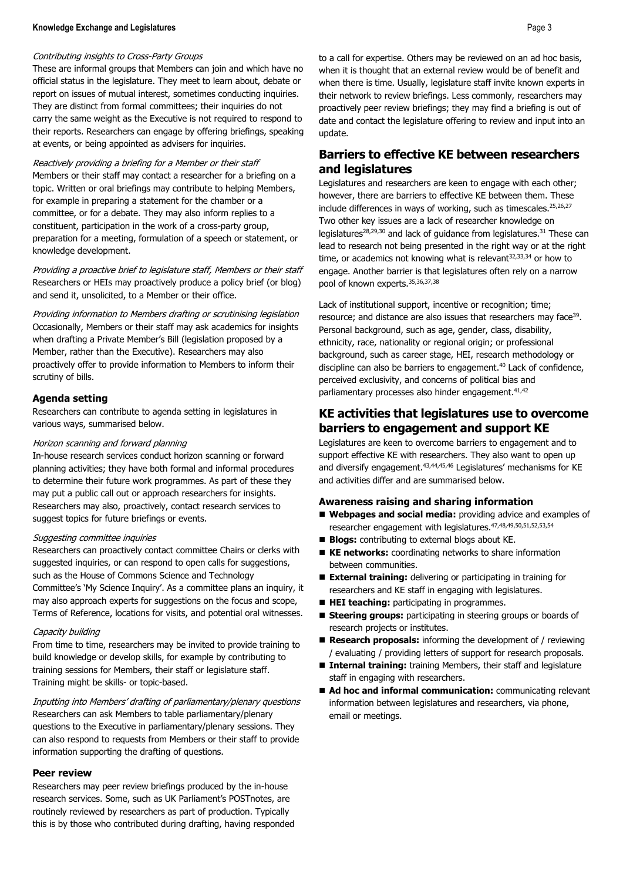#### **Knowledge Exchange and Legislatures** Page 3

#### Contributing insights to Cross-Party Groups

 official status in the legislature. They meet to learn about, debate or They are distinct from formal committees; their inquiries do not These are informal groups that Members can join and which have no report on issues of mutual interest, sometimes conducting inquiries. carry the same weight as the Executive is not required to respond to their reports. Researchers can engage by offering briefings, speaking at events, or being appointed as advisers for inquiries.

 Reactively providing a briefing for a Member or their staff Members or their staff may contact a researcher for a briefing on a for example in preparing a statement for the chamber or a constituent, participation in the work of a cross-party group, topic. Written or oral briefings may contribute to helping Members, committee, or for a debate. They may also inform replies to a preparation for a meeting, formulation of a speech or statement, or knowledge development.

 Providing a proactive brief to legislature staff, Members or their staff Researchers or HEIs may proactively produce a policy brief (or blog) and send it, unsolicited, to a Member or their office.

 when drafting a Private Member's Bill (legislation proposed by a Member, rather than the Executive). Researchers may also Providing information to Members drafting or scrutinising legislation Occasionally, Members or their staff may ask academics for insights proactively offer to provide information to Members to inform their scrutiny of bills.

#### **Agenda setting**

Researchers can contribute to agenda setting in legislatures in various ways, summarised below.

#### Horizon scanning and forward planning

 planning activities; they have both formal and informal procedures to determine their future work programmes. As part of these they may put a public call out or approach researchers for insights. In-house research services conduct horizon scanning or forward Researchers may also, proactively, contact research services to suggest topics for future briefings or events.

#### Suggesting committee inquiries

Researchers can proactively contact committee Chairs or clerks with suggested inquiries, or can respond to open calls for suggestions, such as the House of Commons Science and Technology Committee's 'My Science Inquiry'. As a committee plans an inquiry, it may also approach experts for suggestions on the focus and scope, Terms of Reference, locations for visits, and potential oral witnesses.

#### Capacity building

 From time to time, researchers may be invited to provide training to build knowledge or develop skills, for example by contributing to training sessions for Members, their staff or legislature staff. Training might be skills- or topic-based.

Inputting into Members' drafting of parliamentary/plenary questions Researchers can ask Members to table parliamentary/plenary questions to the Executive in parliamentary/plenary sessions. They can also respond to requests from Members or their staff to provide information supporting the drafting of questions.

#### **Peer review**

 Researchers may peer review briefings produced by the in-house research services. Some, such as UK Parliament's POSTnotes, are routinely reviewed by researchers as part of production. Typically this is by those who contributed during drafting, having responded

 to a call for expertise. Others may be reviewed on an ad hoc basis, proactively peer review briefings; they may find a briefing is out of date and contact the legislature offering to review and input into an when it is thought that an external review would be of benefit and when there is time. Usually, legislature staff invite known experts in their network to review briefings. Less commonly, researchers may update.

## **Barriers to effective KE between researchers and legislatures**

 lead to research not being presented in the right way or at the right engage. Another barrier is that legislatures often rely on a narrow Legislatures and researchers are keen to engage with each other; however, there are barriers to effective KE between them. These include differences in ways of working, such as timescales. $25,26,27$ Two other key issues are a lack of researcher knowledge on legislatures<sup>28,29,30</sup> and lack of guidance from legislatures.<sup>31</sup> These can time, or academics not knowing what is relevant $32,33,34$  or how to pool of known experts. 35,36,37,38

 perceived exclusivity, and concerns of political bias and Lack of institutional support, incentive or recognition; time; resource; and distance are also issues that researchers may face<sup>39</sup>. Personal background, such as age, gender, class, disability, ethnicity, race, nationality or regional origin; or professional background, such as career stage, HEI, research methodology or discipline can also be barriers to engagement. 40 Lack of confidence, parliamentary processes also hinder engagement.<sup>41,42</sup>

## **KE activities that legislatures use to overcome barriers to engagement and support KE**

Legislatures are keen to overcome barriers to engagement and to support effective KE with researchers. They also want to open up and diversify engagement.<sup>43,44,45,46</sup> Legislatures' mechanisms for KE and activities differ and are summarised below.

#### **Awareness raising and sharing information**

- Webpages and social media: providing advice and examples of researcher engagement with legislatures. 47,48,49,50,51,52,53,54
- **Blogs:** contributing to external blogs about KE.
- KE networks: coordinating networks to share information between communities.
- **External training:** delivering or participating in training for researchers and KE staff in engaging with legislatures.
- **HEI teaching:** participating in programmes.
- Steering groups: participating in steering groups or boards of research projects or institutes.
- **Research proposals:** informing the development of / reviewing / evaluating / providing letters of support for research proposals.
- Internal training: training Members, their staff and legislature staff in engaging with researchers.
- Ad hoc and informal communication: communicating relevant information between legislatures and researchers, via phone, email or meetings.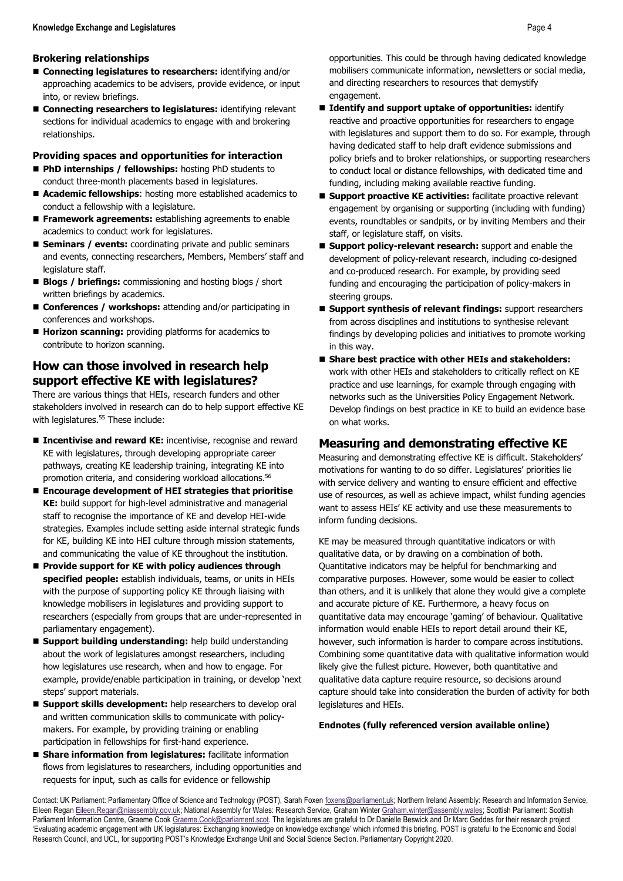## **Brokering relationships**

- **Connecting legislatures to researchers:** identifying and/or approaching academics to be advisers, provide evidence, or input into, or review briefings.
- relationships. ■ **Connecting researchers to legislatures:** identifying relevant sections for individual academics to engage with and brokering

## **Providing spaces and opportunities for interaction**

- PhD internships / fellowships: hosting PhD students to conduct three-month placements based in legislatures.
- conduct a fellowship with a legislature. ■ **Academic fellowships**: hosting more established academics to
- Framework agreements: establishing agreements to enable academics to conduct work for legislatures.
- **Seminars / events:** coordinating private and public seminars and events, connecting researchers, Members, Members' staff and legislature staff.
- **Blogs / briefings:** commissioning and hosting blogs / short written briefings by academics.
- **Conferences / workshops:** attending and/or participating in conferences and workshops.
- **Horizon scanning:** providing platforms for academics to contribute to horizon scanning.

# **How can those involved in research help support effective KE with legislatures?**

 There are various things that HEIs, research funders and other stakeholders involved in research can do to help support effective KE with legislatures. 55 These include:

- Incentivise and reward KE: incentivise, recognise and reward pathways, creating KE leadership training, integrating KE into KE with legislatures, through developing appropriate career promotion criteria, and considering workload allocations. 56
- **KE:** build support for high-level administrative and managerial ■ Encourage development of HEI strategies that prioritise staff to recognise the importance of KE and develop HEI-wide strategies. Examples include setting aside internal strategic funds for KE, building KE into HEI culture through mission statements, and communicating the value of KE throughout the institution.
- knowledge mobilisers in legislatures and providing support to ■ Provide support for KE with policy audiences through **specified people:** establish individuals, teams, or units in HEIs with the purpose of supporting policy KE through liaising with researchers (especially from groups that are under-represented in parliamentary engagement).
- **Support building understanding:** help build understanding example, provide/enable participation in training, or develop 'next about the work of legislatures amongst researchers, including how legislatures use research, when and how to engage. For steps' support materials.
- participation in fellowships for first-hand experience. ■ **Support skills development:** help researchers to develop oral and written communication skills to communicate with policymakers. For example, by providing training or enabling
- **Share information from legislatures:** facilitate information flows from legislatures to researchers, including opportunities and requests for input, such as calls for evidence or fellowship

 opportunities. This could be through having dedicated knowledge mobilisers communicate information, newsletters or social media, and directing researchers to resources that demystify engagement.

- reactive and proactive opportunities for researchers to engage having dedicated staff to help draft evidence submissions and ■ Identify and support uptake of opportunities: identify with legislatures and support them to do so. For example, through policy briefs and to broker relationships, or supporting researchers to conduct local or distance fellowships, with dedicated time and funding, including making available reactive funding.
- **Support proactive KE activities:** facilitate proactive relevant engagement by organising or supporting (including with funding) events, roundtables or sandpits, or by inviting Members and their staff, or legislature staff, on visits.
- and co-produced research. For example, by providing seed steering groups. ■ **Support policy-relevant research:** support and enable the development of policy-relevant research, including co-designed funding and encouraging the participation of policy-makers in
- **Support synthesis of relevant findings:** support researchers from across disciplines and institutions to synthesise relevant findings by developing policies and initiatives to promote working in this way.
- work with other HEIs and stakeholders to critically reflect on KE ■ Share best practice with other HEIs and stakeholders: practice and use learnings, for example through engaging with networks such as the Universities Policy Engagement Network. Develop findings on best practice in KE to build an evidence base on what works.

## **Measuring and demonstrating effective KE**

 with service delivery and wanting to ensure efficient and effective Measuring and demonstrating effective KE is difficult. Stakeholders' motivations for wanting to do so differ. Legislatures' priorities lie use of resources, as well as achieve impact, whilst funding agencies want to assess HEIs' KE activity and use these measurements to inform funding decisions.

 KE may be measured through quantitative indicators or with qualitative data, or by drawing on a combination of both. Quantitative indicators may be helpful for benchmarking and than others, and it is unlikely that alone they would give a complete and accurate picture of KE. Furthermore, a heavy focus on quantitative data may encourage 'gaming' of behaviour. Qualitative information would enable HEIs to report detail around their KE, Combining some quantitative data with qualitative information would qualitative data capture require resource, so decisions around comparative purposes. However, some would be easier to collect however, such information is harder to compare across institutions. likely give the fullest picture. However, both quantitative and capture should take into consideration the burden of activity for both legislatures and HEIs.

## **Endnotes (fully referenced version available online)**

Parliament Information Centre, Graeme Coo[k Graeme.Cook@parliament.scot.](mailto:Graeme.Cook@parliament.scot) The legislatures are grateful to Dr Danielle Beswick and Dr Marc Geddes for their research project Contact: UK Parliament: Parliamentary Office of Science and Technology (POST), Sarah Foxen [foxens@parliament.uk;](mailto:foxens@parliament.uk) Northern Ireland Assembly: Research and Information Service, Eileen Rega[n Eileen.Regan@niassembly.gov.uk;](mailto:Eileen.Regan@niassembly.gov.uk) National Assembly for Wales: Research Service, Graham Winte[r Graham.winter@assembly.wales;](mailto:Graham.winter@assembly.wales) Scottish Parliament: Scottish 'Evaluating academic engagement with UK legislatures: Exchanging knowledge on knowledge exchange' which informed this briefing. POST is grateful to the Economic and Social Research Council, and UCL, for supporting POST's Knowledge Exchange Unit and Social Science Section. Parliamentary Copyright 2020.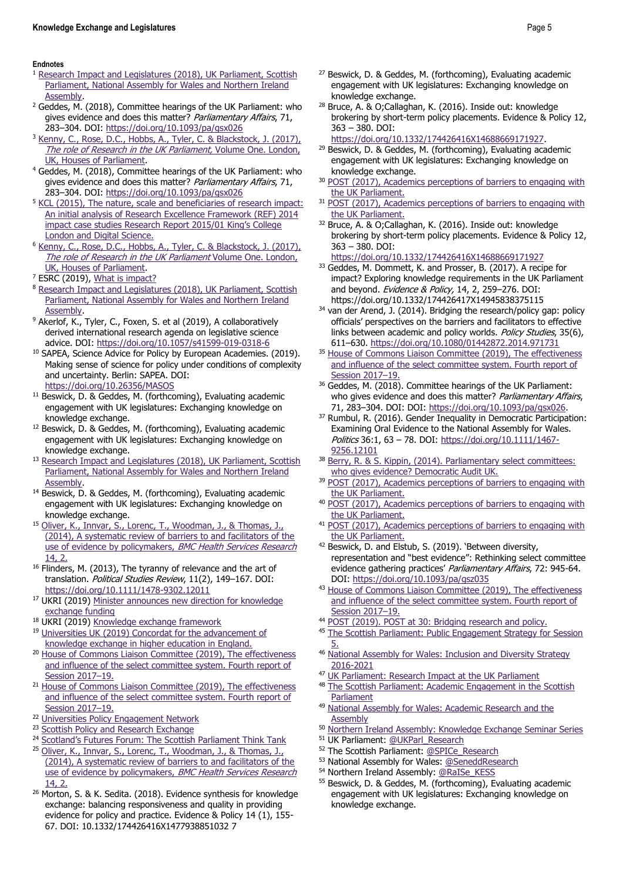#### **Endnotes**

- <sup>1</sup> Research Impact and Legislatures (2018), UK Parliament, Scottish [Parliament, National Assembly for Wales and Northern Ireland](https://www.parliament.uk/documents/Research%20Impact%20in%20Legislatures_FINAL%202.pdf)
- [Assembly.](https://www.parliament.uk/documents/Research%20Impact%20in%20Legislatures_FINAL%202.pdf) 2 Geddes, M. (2018), Committee hearings of the UK Parliament: who gives evidence and does this matter? Parliamentary Affairs, 71,
- 283–304. DOI: https://doi.org/10.1093/pa/gsx026<br><sup>3</sup> Kenny, C., Rose, D.C., Hobbs, A., Tyler, C. & Blackstock, J. (2017), [The role of Research in the UK Parliament,](https://www.parliament.uk/documents/post/The-Role-of-Research-in-the-UK-Parliament.pdf) Volume One. London,
- [UK, Houses of Parliament.](https://www.parliament.uk/documents/post/The-Role-of-Research-in-the-UK-Parliament.pdf) 4 Geddes, M. (2018), Committee hearings of the UK Parliament: who gives evidence and does this matter? Parliamentary Affairs, 71,
- [An initial analysis of Research Excellence Framework \(REF\) 2014](https://www.kcl.ac.uk/policy-institute/assets/ref-impact.pdf)  283–304. DOI: https://doi.org/10.1093/pa/gsx026<br><sup>5</sup> KCL (2015), The nature, scale and beneficiaries of research impact: [impact case studies Research Report 2015/01](https://www.kcl.ac.uk/policy-institute/assets/ref-impact.pdf) King's College
- [London and Digital Science.](https://www.kcl.ac.uk/policy-institute/assets/ref-impact.pdf) 6 [Kenny, C., Rose, D.C., Hobbs, A., Tyler, C. & Blackstock, J. \(2017\),](https://www.parliament.uk/documents/post/The-Role-of-Research-in-the-UK-Parliament.pdf)  [The role of Research in the UK Parliament](https://www.parliament.uk/documents/post/The-Role-of-Research-in-the-UK-Parliament.pdf) Volume One. London,
- 
- [UK, Houses of Parliament.](https://www.parliament.uk/documents/post/The-Role-of-Research-in-the-UK-Parliament.pdf)<br>
<sup>7</sup> ESRC (2019), <u>What is impact?</u><br>
<sup>8</sup> Research Impact and Legislatures (2018), UK Parliament, Scottish [Parliament, National Assembly for Wales and Northern Ireland](https://www.parliament.uk/documents/Research%20Impact%20in%20Legislatures_FINAL%202.pdf)
- Assembly.<br><sup>9</sup> Akerlof, K., Tyler, C., Foxen, S. et al (2019), A collaboratively derived international research agenda on legislative science
- advice. DOI: https://doi.org/10.1057/s41599-019-0318-6<br><sup>10</sup> SAPEA, Science Advice for Policy by European Academies. (2019). Making sense of science for policy under conditions of complexity and uncertainty. Berlin: SAPEA. DOI:
- https://doi.org/10.26356/MASOS<br><sup>11</sup> Beswick, D. & Geddes, M. (forthcoming), Evaluating academic engagement with UK legislatures: Exchanging knowledge on
- knowledge exchange.  $12$  Beswick, D. & Geddes, M. (forthcoming), Evaluating academic engagement with UK legislatures: Exchanging knowledge on
- knowledge exchange.<br><sup>13</sup> Research Impact and Legislatures (2018), UK Parliament, Scottish [Parliament, National Assembly for Wales and Northern Ireland](https://www.parliament.uk/documents/Research%20Impact%20in%20Legislatures_FINAL%202.pdf)
- Assembly.<br><sup>14</sup> Beswick, D. & Geddes, M. (forthcoming), Evaluating academic engagement with UK legislatures: Exchanging knowledge on
- [\(2014\), A systematic review of barriers to and facilitators of the](https://bmchealthservres.biomedcentral.com/articles/10.1186/1472-6963-14-2)  knowledge exchange.<br><sup>15</sup> Oliver, K., Innvar, S., Lorenc, T., Woodman, J., & Thomas, J., [use of evidence by policymakers,](https://bmchealthservres.biomedcentral.com/articles/10.1186/1472-6963-14-2) BMC Health Services Research
- $14$ , 2. 16 Flinders, M. (2013), The tyranny of relevance and the art of translation. Political Studies Review, 11(2), 149-167. DOI:
- https://doi.org/10.1111/1478-9302.12011<br><sup>17</sup> UKRI (2019) Minister announces new direction for knowledge
- 
- exchange funding<br><sup>18</sup> [UKRI \(2019\)](https://www.universitiesuk.ac.uk/policy-and-analysis/reports/Pages/knowledge-exchange-concordat-consultation.aspx) <u>Knowledge exchange framework</u><br><sup>19</sup> Un<u>iversities UK (2019) Concordat for the advancement of</u>
- [knowledge exchange in higher education in England.](https://www.universitiesuk.ac.uk/policy-and-analysis/reports/Pages/knowledge-exchange-concordat-consultation.aspx) 20 [House of Commons Liaison Committee \(2019\), The effectiveness](https://publications.parliament.uk/pa/cm201719/cmselect/cmliaisn/1860/1860.pdf)  [and influence of the select committee system. Fourth report of](https://publications.parliament.uk/pa/cm201719/cmselect/cmliaisn/1860/1860.pdf)
- Session 2017–19.<br><sup>21</sup> House of Commons Liaison Committee (2019), The effectiveness [and influence of the select committee system. Fourth report of](https://publications.parliament.uk/pa/cm201719/cmselect/cmliaisn/1860/1860.pdf)
- 
- <sup>22</sup> Universities Policy Engagement Network<br><sup>23</sup> Scottish Policy and Research Exchange
- Session 2017–19.<br><sup>22</sup> Universities Policy Engagement Network<br><sup>23</sup> Scottish Policy and Research Exchange<br><sup>24</sup> Scotland's Futures Forum: The Scottish Parliament Think Tank
- [\(2014\), A systematic review of barriers to and facilitators of the](https://bmchealthservres.biomedcentral.com/articles/10.1186/1472-6963-14-2)  <sup>25</sup> Oliver, K., Innvar, S., Lorenc, T., Woodman, J., & Thomas, J., [use of evidence by policymakers,](https://bmchealthservres.biomedcentral.com/articles/10.1186/1472-6963-14-2) BMC Health Services Research
- evidence for policy and practice. Evidence & Policy 14 (1), 155-  $\frac{14, 2.}{26}$  Morton, S. & K. Sedita. (2018). Evidence synthesis for knowledge exchange: balancing responsiveness and quality in providing 67. DOI: 10.1332/174426416X1477938851032 7
- $27$  Beswick, D. & Geddes, M. (forthcoming), Evaluating academic engagement with UK legislatures: Exchanging knowledge on
- knowledge exchange.<br><sup>28</sup> Bruce, A. & O;Callaghan, K. (2016). Inside out: knowledge brokering by short-term policy placements. Evidence & Policy 12, 363 – 380. DOI:
	-
- [https://doi.org/10.1332/174426416X14688669171927.](https://doi.org/10.1332/174426416X14688669171927) 29 Beswick, D. & Geddes, M. (forthcoming), Evaluating academic engagement with UK legislatures: Exchanging knowledge on
- knowledge exchange.<br><sup>30</sup> POST (2017), Academics perceptions of barriers to engaging with
- the UK Parliament.<br><sup>31</sup> POST (2017), Academics perceptions of barriers to engaging with
- the UK Parliament.<br><sup>32</sup> Bruce, A. & O;Callaghan, K. (2016). Inside out: knowledge brokering by short-term policy placements. Evidence & Policy 12, 363 – 380. DOI:

- <https://doi.org/10.1332/174426416X14688669171927>33 Geddes, M. Dommett, K. and Prosser, B. (2017). A recipe for impact? Exploring knowledge requirements in the UK Parliament and beyond. Evidence & Policy, 14, 2, 259-276. DOI:<br>https://doi.org/10.1332/174426417X14945838375115
- links between academic and policy worlds. Policy Studies, 35(6), 34 van der Arend, J. (2014). Bridging the research/policy gap: policy officials' perspectives on the barriers and facilitators to effective
- <sup>611</sup>–630.<https://doi.org/10.1080/01442872.2014.971731>35 [House of Commons Liaison Committee \(2019\), The effectiveness](https://publications.parliament.uk/pa/cm201719/cmselect/cmliaisn/1860/1860.pdf)  [and influence of the select committee system. Fourth report of](https://publications.parliament.uk/pa/cm201719/cmselect/cmliaisn/1860/1860.pdf)
- who gives evidence and does this matter? Parliamentary Affairs, Session 2017–19.<br><sup>36</sup> Geddes, M. (2018). Committee hearings of the UK Parliament:
- 71, 283–304. DOI: DOI: [https://doi.org/10.1093/pa/gsx026.](https://doi.org/10.1093/pa/gsx026) 37 Rumbul, R. (2016). Gender Inequality in Democratic Participation: Examining Oral Evidence to the National Assembly for Wales. Politics 36:1, 63 - 78. DOI: [https://doi.org/10.1111/1467-](https://doi.org/10.1111/1467-9256.12101)
- who gives evidence? Democratic Audit UK. 9256.12101<br><sup>38</sup> Berry, R. & S. Kippin, (2014). Parliamentary select committees:
- 39 POST (2017), Academics perceptions of barriers to engaging with
- the UK Parliament.<br> **POST (2017), Academics perceptions of barriers to engaging with**
- the UK Parliament.<br><sup>41</sup> POST (2017), Academics perceptions of barriers to engaging with
- the UK Parliament.<br><sup>42</sup> Beswick, D. and Elstub, S. (2019). 'Between diversity, representation and "best evidence": Rethinking select committee evidence gathering practices' Parliamentary Affairs, 72: 945-64.
- [DOI:](https://publications.parliament.uk/pa/cm201719/cmselect/cmliaisn/1860/1860.pdf) https://doi.org/10.1093/pa/gsz035<br><sup>43</sup> House of Commons Liaison Committee (2019), The effectiveness [and influence of the select committee system. Fourth report of](https://publications.parliament.uk/pa/cm201719/cmselect/cmliaisn/1860/1860.pdf)
- 
- Session 2017–19.<br><sup>44</sup> POST (2019). POST at 30: Bridging research and policy.<br><sup>45</sup> The Scottish Parliament: Public Engagement Strategy for Session
- [5.](https://www.parliament.scot/abouttheparliament/104412.aspx) 46 [National Assembly for Wales: Inclusion and Diversity Strategy](https://www.assembly.wales/en/abthome/about_us-commission_assembly_administration/equalities/Pages/equalities.aspx)
- <sup>47</sup> UK Parliament: Research Impact at the UK Parliament 2016-2021<br><sup>47</sup> UK Parliament: Research Impact at the UK Parliament<br><sup>48</sup> The Scottish Parliament: Academic Engagement in the Scottish
- Parliament<br><sup>49</sup> National Assembly for Wales: Academic Research and the
- 
- Assembly<br>
<sup>50</sup> Northern Ireland Assembly: Knowledge Exchange Seminar Series<br>
<sup>51</sup> UK Parliament: <u>@UKParl Research</u><br>
<sup>52</sup> The Scottish Parliament: <u>@SPICe Research</u><br>
<sup>53</sup> National [Assembly](https://www.assembly.wales/en/bus-home/research/academic-engagement/Pages/academic-research-and-the-Assembly.aspx) for Wales: <u>@SeneddResearch</u><br>
<sup>54</sup>
- 
- 
- 
- 
- <sup>55</sup> Beswick, D. & Geddes, M. (forthcoming), Evaluating academic engagement with UK legislatures: Exchanging knowledge on knowledge exchange.